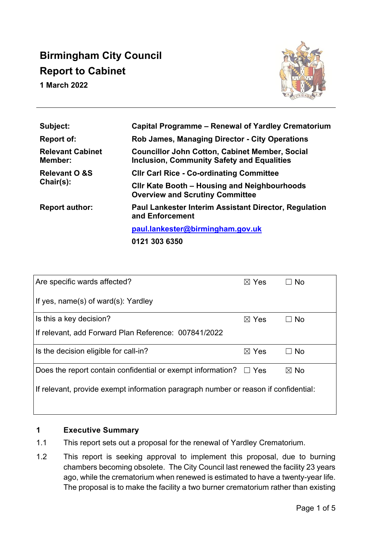# **Birmingham City Council Report to Cabinet**

**1 March 2022** 



| Subject:                              | Capital Programme – Renewal of Yardley Crematorium                                                         |  |
|---------------------------------------|------------------------------------------------------------------------------------------------------------|--|
| Report of:                            | <b>Rob James, Managing Director - City Operations</b>                                                      |  |
| <b>Relevant Cabinet</b><br>Member:    | <b>Councillor John Cotton, Cabinet Member, Social</b><br><b>Inclusion, Community Safety and Equalities</b> |  |
| <b>Relevant O &amp;S</b><br>Chair(s): | <b>CIIr Carl Rice - Co-ordinating Committee</b>                                                            |  |
|                                       | CIIr Kate Booth – Housing and Neighbourhoods<br><b>Overview and Scrutiny Committee</b>                     |  |
| <b>Report author:</b>                 | <b>Paul Lankester Interim Assistant Director, Regulation</b><br>and Enforcement                            |  |
|                                       | paul.lankester@birmingham.gov.uk                                                                           |  |
|                                       | 0121 303 6350                                                                                              |  |

| Are specific wards affected?                                                        | $\boxtimes$ Yes | No             |  |  |  |
|-------------------------------------------------------------------------------------|-----------------|----------------|--|--|--|
| If yes, name(s) of ward(s): Yardley                                                 |                 |                |  |  |  |
| Is this a key decision?                                                             | $\boxtimes$ Yes | <b>No</b>      |  |  |  |
| If relevant, add Forward Plan Reference: 007841/2022                                |                 |                |  |  |  |
| Is the decision eligible for call-in?                                               | $\boxtimes$ Yes | $\Box$ No      |  |  |  |
| Does the report contain confidential or exempt information? $\square$ Yes           |                 | $\boxtimes$ No |  |  |  |
| If relevant, provide exempt information paragraph number or reason if confidential: |                 |                |  |  |  |

# **1 Executive Summary**

- 1.1 This report sets out a proposal for the renewal of Yardley Crematorium.
- 1.2 This report is seeking approval to implement this proposal, due to burning chambers becoming obsolete. The City Council last renewed the facility 23 years ago, while the crematorium when renewed is estimated to have a twenty-year life. The proposal is to make the facility a two burner crematorium rather than existing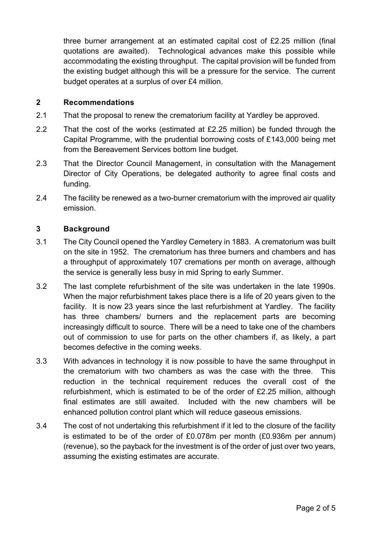three burner arrangement at an estimated capital cost of £2.25 million (final quotations are awaited). Technological advances make this possible while accommodating the existing throughput. The capital provision will be funded from the existing budget although this will be a pressure for the service. The current budget operates at a surplus of over £4 million.

# **2 Recommendations**

- 2.1 That the proposal to renew the crematorium facility at Yardley be approved.
- 2.2 That the cost of the works (estimated at £2.25 million) be funded through the Capital Programme, with the prudential borrowing costs of £143,000 being met from the Bereavement Services bottom line budget.
- 2.3 That the Director Council Management, in consultation with the Management Director of City Operations, be delegated authority to agree final costs and funding.
- 2.4 The facility be renewed as a two-burner crematorium with the improved air quality emission.

## **3 Background**

- 3.1 The City Council opened the Yardley Cemetery in 1883. A crematorium was built on the site in 1952. The crematorium has three burners and chambers and has a throughput of approximately 107 cremations per month on average, although the service is generally less busy in mid Spring to early Summer.
- 3.2 The last complete refurbishment of the site was undertaken in the late 1990s. When the major refurbishment takes place there is a life of 20 years given to the facility. It is now 23 years since the last refurbishment at Yardley. The facility has three chambers/ burners and the replacement parts are becoming increasingly difficult to source. There will be a need to take one of the chambers out of commission to use for parts on the other chambers if, as likely, a part becomes defective in the coming weeks.
- 3.3 With advances in technology it is now possible to have the same throughput in the crematorium with two chambers as was the case with the three. This reduction in the technical requirement reduces the overall cost of the refurbishment, which is estimated to be of the order of £2.25 million, although final estimates are still awaited. Included with the new chambers will be enhanced pollution control plant which will reduce gaseous emissions.
- 3.4 The cost of not undertaking this refurbishment if it led to the closure of the facility is estimated to be of the order of £0.078m per month (£0.936m per annum) (revenue), so the payback for the investment is of the order of just over two years, assuming the existing estimates are accurate.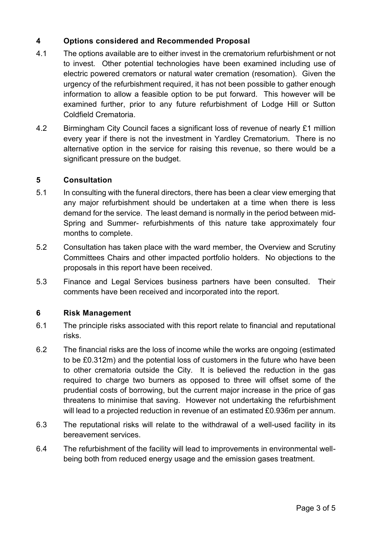# **4 Options considered and Recommended Proposal**

- 4.1 The options available are to either invest in the crematorium refurbishment or not to invest. Other potential technologies have been examined including use of electric powered cremators or natural water cremation (resomation). Given the urgency of the refurbishment required, it has not been possible to gather enough information to allow a feasible option to be put forward. This however will be examined further, prior to any future refurbishment of Lodge Hill or Sutton Coldfield Crematoria.
- 4.2 Birmingham City Council faces a significant loss of revenue of nearly £1 million every year if there is not the investment in Yardley Crematorium. There is no alternative option in the service for raising this revenue, so there would be a significant pressure on the budget.

## **5 Consultation**

- 5.1 In consulting with the funeral directors, there has been a clear view emerging that any major refurbishment should be undertaken at a time when there is less demand for the service. The least demand is normally in the period between mid-Spring and Summer- refurbishments of this nature take approximately four months to complete.
- 5.2 Consultation has taken place with the ward member, the Overview and Scrutiny Committees Chairs and other impacted portfolio holders. No objections to the proposals in this report have been received.
- 5.3 Finance and Legal Services business partners have been consulted. Their comments have been received and incorporated into the report.

#### **6 Risk Management**

- 6.1 The principle risks associated with this report relate to financial and reputational risks.
- 6.2 The financial risks are the loss of income while the works are ongoing (estimated to be £0.312m) and the potential loss of customers in the future who have been to other crematoria outside the City. It is believed the reduction in the gas required to charge two burners as opposed to three will offset some of the prudential costs of borrowing, but the current major increase in the price of gas threatens to minimise that saving. However not undertaking the refurbishment will lead to a projected reduction in revenue of an estimated £0.936m per annum.
- 6.3 The reputational risks will relate to the withdrawal of a well-used facility in its bereavement services.
- 6.4 The refurbishment of the facility will lead to improvements in environmental wellbeing both from reduced energy usage and the emission gases treatment.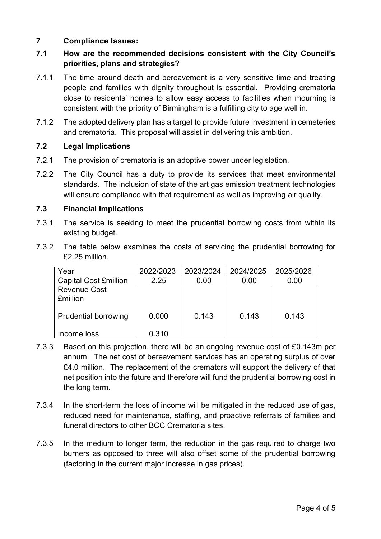# **7 Compliance Issues:**

# **7.1 How are the recommended decisions consistent with the City Council's priorities, plans and strategies?**

- 7.1.1 The time around death and bereavement is a very sensitive time and treating people and families with dignity throughout is essential. Providing crematoria close to residents' homes to allow easy access to facilities when mourning is consistent with the priority of Birmingham is a fulfilling city to age well in.
- 7.1.2 The adopted delivery plan has a target to provide future investment in cemeteries and crematoria. This proposal will assist in delivering this ambition.

## **7.2 Legal Implications**

- 7.2.1 The provision of crematoria is an adoptive power under legislation.
- 7.2.2 The City Council has a duty to provide its services that meet environmental standards. The inclusion of state of the art gas emission treatment technologies will ensure compliance with that requirement as well as improving air quality.

## **7.3 Financial Implications**

- 7.3.1 The service is seeking to meet the prudential borrowing costs from within its existing budget.
- 7.3.2 The table below examines the costs of servicing the prudential borrowing for £2.25 million.

| ⁄ear                                   | 2022/2023 | 2023/2024 | 2024/2025 | 2025/2026 |
|----------------------------------------|-----------|-----------|-----------|-----------|
| <b>Capital Cost £million</b>           | 2.25      | 0.00      | 0.00      | 0.00      |
| <b>Revenue Cost</b><br><b>£million</b> |           |           |           |           |
| <b>Prudential borrowing</b>            | 0.000     | 0.143     | 0.143     | 0.143     |
| Income loss                            | 0.310     |           |           |           |

- 7.3.3 Based on this projection, there will be an ongoing revenue cost of £0.143m per annum. The net cost of bereavement services has an operating surplus of over £4.0 million. The replacement of the cremators will support the delivery of that net position into the future and therefore will fund the prudential borrowing cost in the long term.
- 7.3.4 In the short-term the loss of income will be mitigated in the reduced use of gas, reduced need for maintenance, staffing, and proactive referrals of families and funeral directors to other BCC Crematoria sites.
- 7.3.5 In the medium to longer term, the reduction in the gas required to charge two burners as opposed to three will also offset some of the prudential borrowing (factoring in the current major increase in gas prices).